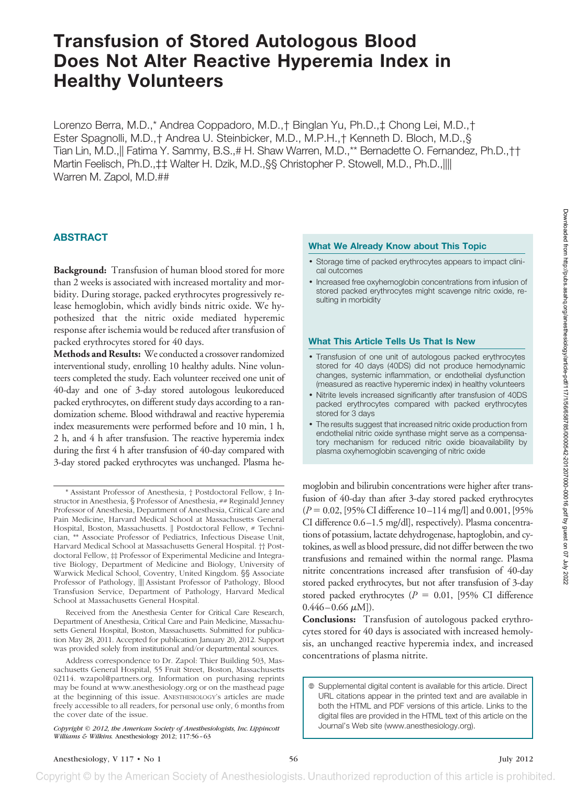Lorenzo Berra, M.D.,\* Andrea Coppadoro, M.D.,† Binglan Yu, Ph.D.,‡ Chong Lei, M.D.,† Ester Spagnolli, M.D.,† Andrea U. Steinbicker, M.D., M.P.H.,† Kenneth D. Bloch, M.D.,§ Tian Lin, M.D.,|| Fatima Y. Sammy, B.S.,# H. Shaw Warren, M.D.,\*\* Bernadette O. Fernandez, Ph.D.,†† Martin Feelisch, Ph.D.,‡‡ Walter H. Dzik, M.D.,§§ Christopher P. Stowell, M.D., Ph.D.,|||| Warren M. Zapol, M.D.##

# **ABSTRACT**

**Background:** Transfusion of human blood stored for more than 2 weeks is associated with increased mortality and morbidity. During storage, packed erythrocytes progressively release hemoglobin, which avidly binds nitric oxide. We hypothesized that the nitric oxide mediated hyperemic response after ischemia would be reduced after transfusion of packed erythrocytes stored for 40 days.

**Methods and Results:** We conducted a crossover randomized interventional study, enrolling 10 healthy adults. Nine volunteers completed the study. Each volunteer received one unit of 40-day and one of 3-day stored autologous leukoreduced packed erythrocytes, on different study days according to a randomization scheme. Blood withdrawal and reactive hyperemia index measurements were performed before and 10 min, 1 h, 2 h, and 4 h after transfusion. The reactive hyperemia index during the first 4 h after transfusion of 40-day compared with 3-day stored packed erythrocytes was unchanged. Plasma he-

Received from the Anesthesia Center for Critical Care Research, Department of Anesthesia, Critical Care and Pain Medicine, Massachusetts General Hospital, Boston, Massachusetts. Submitted for publication May 28, 2011. Accepted for publication January 20, 2012. Support was provided solely from institutional and/or departmental sources.

Address correspondence to Dr. Zapol: Thier Building 503, Massachusetts General Hospital, 55 Fruit Street, Boston, Massachusetts 02114. wzapol@partners.org. Information on purchasing reprints may be found at www.anesthesiology.org or on the masthead page at the beginning of this issue. ANESTHESIOLOGY's articles are made freely accessible to all readers, for personal use only, 6 months from the cover date of the issue.

#### **What We Already Know about This Topic**

- Storage time of packed erythrocytes appears to impact clinical outcomes
- Increased free oxyhemoglobin concentrations from infusion of stored packed erythrocytes might scavenge nitric oxide, resulting in morbidity

### **What This Article Tells Us That Is New**

- Transfusion of one unit of autologous packed erythrocytes stored for 40 days (40DS) did not produce hemodynamic changes, systemic inflammation, or endothelial dysfunction (measured as reactive hyperemic index) in healthy volunteers
- Nitrite levels increased significantly after transfusion of 40DS packed erythrocytes compared with packed erythrocytes stored for 3 days
- The results suggest that increased nitric oxide production from endothelial nitric oxide synthase might serve as a compensatory mechanism for reduced nitric oxide bioavailability by plasma oxyhemoglobin scavenging of nitric oxide

moglobin and bilirubin concentrations were higher after transfusion of 40-day than after 3-day stored packed erythrocytes (*P* 0.02, [95% CI difference 10 –114 mg/l] and 0.001, [95% CI difference 0.6 –1.5 mg/dl], respectively). Plasma concentrations of potassium, lactate dehydrogenase, haptoglobin, and cytokines, as well as blood pressure, did not differ between the two transfusions and remained within the normal range. Plasma nitrite concentrations increased after transfusion of 40-day stored packed erythrocytes, but not after transfusion of 3-day stored packed erythrocytes ( $P = 0.01$ , [95% CI difference  $0.446 - 0.66 \mu M$ ]).

**Conclusions:** Transfusion of autologous packed erythrocytes stored for 40 days is associated with increased hemolysis, an unchanged reactive hyperemia index, and increased concentrations of plasma nitrite.

<sup>\*</sup> Assistant Professor of Anesthesia, † Postdoctoral Fellow, ‡ Instructor in Anesthesia, § Professor of Anesthesia, ## Reginald Jenney Professor of Anesthesia, Department of Anesthesia, Critical Care and Pain Medicine, Harvard Medical School at Massachusetts General Hospital, Boston, Massachusetts. || Postdoctoral Fellow, # Technician, \*\* Associate Professor of Pediatrics, Infectious Disease Unit, Harvard Medical School at Massachusetts General Hospital. †† Postdoctoral Fellow, # Professor of Experimental Medicine and Integrative Biology, Department of Medicine and Biology, University of Warwick Medical School, Coventry, United Kingdom. §§ Associate Professor of Pathology,  $\parallel\parallel$  Assistant Professor of Pathology, Blood Transfusion Service, Department of Pathology, Harvard Medical School at Massachusetts General Hospital.

*Copyright © 2012, the American Society of Anesthesiologists, Inc. Lippincott Williams & Wilkins.* Anesthesiology 2012; 117:56 –63

Supplemental digital content is available for this article. Direct URL citations appear in the printed text and are available in both the HTML and PDF versions of this article. Links to the digital files are provided in the HTML text of this article on the Journal's Web site (www.anesthesiology.org).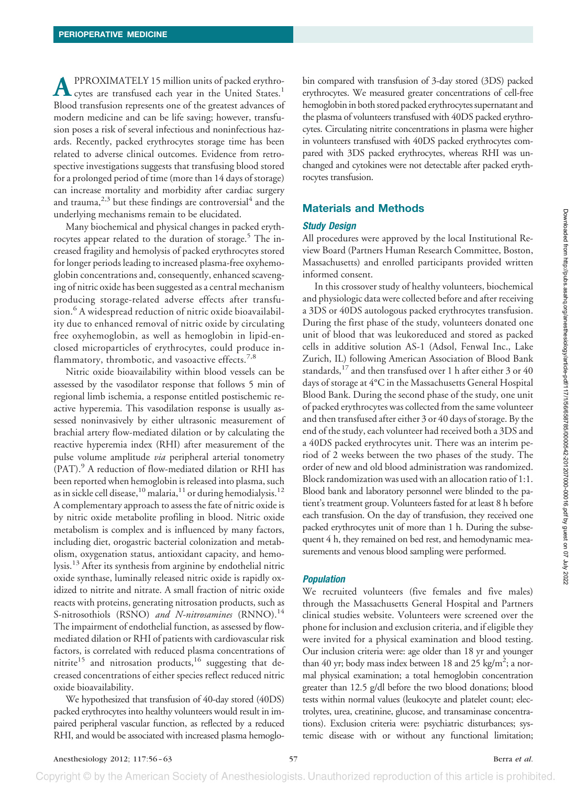**A**PPROXIMATELY 15 million units of packed erythrocytes are transfused each year in the United States.<sup>1</sup> Blood transfusion represents one of the greatest advances of modern medicine and can be life saving; however, transfusion poses a risk of several infectious and noninfectious hazards. Recently, packed erythrocytes storage time has been related to adverse clinical outcomes. Evidence from retrospective investigations suggests that transfusing blood stored for a prolonged period of time (more than 14 days of storage) can increase mortality and morbidity after cardiac surgery and trauma,  $2,3$  but these findings are controversial<sup>4</sup> and the underlying mechanisms remain to be elucidated.

Many biochemical and physical changes in packed erythrocytes appear related to the duration of storage.<sup>5</sup> The increased fragility and hemolysis of packed erythrocytes stored for longer periods leading to increased plasma-free oxyhemoglobin concentrations and, consequently, enhanced scavenging of nitric oxide has been suggested as a central mechanism producing storage-related adverse effects after transfusion.<sup>6</sup> A widespread reduction of nitric oxide bioavailability due to enhanced removal of nitric oxide by circulating free oxyhemoglobin, as well as hemoglobin in lipid-enclosed microparticles of erythrocytes, could produce inflammatory, thrombotic, and vasoactive effects. $7,8$ 

Nitric oxide bioavailability within blood vessels can be assessed by the vasodilator response that follows 5 min of regional limb ischemia, a response entitled postischemic reactive hyperemia. This vasodilation response is usually assessed noninvasively by either ultrasonic measurement of brachial artery flow-mediated dilation or by calculating the reactive hyperemia index (RHI) after measurement of the pulse volume amplitude *via* peripheral arterial tonometry (PAT).9 A reduction of flow-mediated dilation or RHI has been reported when hemoglobin is released into plasma, such as in sickle cell disease,  $^{10}$  malaria,  $^{11}$  or during hemodialysis.<sup>12</sup> A complementary approach to assess the fate of nitric oxide is by nitric oxide metabolite profiling in blood. Nitric oxide metabolism is complex and is influenced by many factors, including diet, orogastric bacterial colonization and metabolism, oxygenation status, antioxidant capacity, and hemolysis.13 After its synthesis from arginine by endothelial nitric oxide synthase, luminally released nitric oxide is rapidly oxidized to nitrite and nitrate. A small fraction of nitric oxide reacts with proteins, generating nitrosation products, such as S-nitrosothiols (RSNO) and N-nitrosamines (RNNO).<sup>14</sup> The impairment of endothelial function, as assessed by flowmediated dilation or RHI of patients with cardiovascular risk factors, is correlated with reduced plasma concentrations of nitrite<sup>15</sup> and nitrosation products,<sup>16</sup> suggesting that decreased concentrations of either species reflect reduced nitric oxide bioavailability.

We hypothesized that transfusion of 40-day stored (40DS) packed erythrocytes into healthy volunteers would result in impaired peripheral vascular function, as reflected by a reduced RHI, and would be associated with increased plasma hemoglobin compared with transfusion of 3-day stored (3DS) packed erythrocytes. We measured greater concentrations of cell-free hemoglobin in both stored packed erythrocytes supernatant and the plasma of volunteers transfused with 40DS packed erythrocytes. Circulating nitrite concentrations in plasma were higher in volunteers transfused with 40DS packed erythrocytes compared with 3DS packed erythrocytes, whereas RHI was unchanged and cytokines were not detectable after packed erythrocytes transfusion.

## **Materials and Methods**

### *Study Design*

All procedures were approved by the local Institutional Review Board (Partners Human Research Committee, Boston, Massachusetts) and enrolled participants provided written informed consent.

In this crossover study of healthy volunteers, biochemical and physiologic data were collected before and after receiving a 3DS or 40DS autologous packed erythrocytes transfusion. During the first phase of the study, volunteers donated one unit of blood that was leukoreduced and stored as packed cells in additive solution AS-1 (Adsol, Fenwal Inc., Lake Zurich, IL) following American Association of Blood Bank standards,  $^{17}$  and then transfused over 1 h after either 3 or 40 days of storage at 4°C in the Massachusetts General Hospital Blood Bank. During the second phase of the study, one unit of packed erythrocytes was collected from the same volunteer and then transfused after either 3 or 40 days of storage. By the end of the study, each volunteer had received both a 3DS and a 40DS packed erythrocytes unit. There was an interim period of 2 weeks between the two phases of the study. The order of new and old blood administration was randomized. Block randomization was used with an allocation ratio of 1:1. Blood bank and laboratory personnel were blinded to the patient's treatment group. Volunteers fasted for at least 8 h before each transfusion. On the day of transfusion, they received one packed erythrocytes unit of more than 1 h. During the subsequent 4 h, they remained on bed rest, and hemodynamic measurements and venous blood sampling were performed.

## *Population*

We recruited volunteers (five females and five males) through the Massachusetts General Hospital and Partners clinical studies website. Volunteers were screened over the phone for inclusion and exclusion criteria, and if eligible they were invited for a physical examination and blood testing. Our inclusion criteria were: age older than 18 yr and younger than 40 yr; body mass index between 18 and 25 kg/m<sup>2</sup>; a normal physical examination; a total hemoglobin concentration greater than 12.5 g/dl before the two blood donations; blood tests within normal values (leukocyte and platelet count; electrolytes, urea, creatinine, glucose, and transaminase concentrations). Exclusion criteria were: psychiatric disturbances; systemic disease with or without any functional limitation;

Copyright © by the American Society of Anesthesiologists. Unauthorized reproduction of this article is prohibited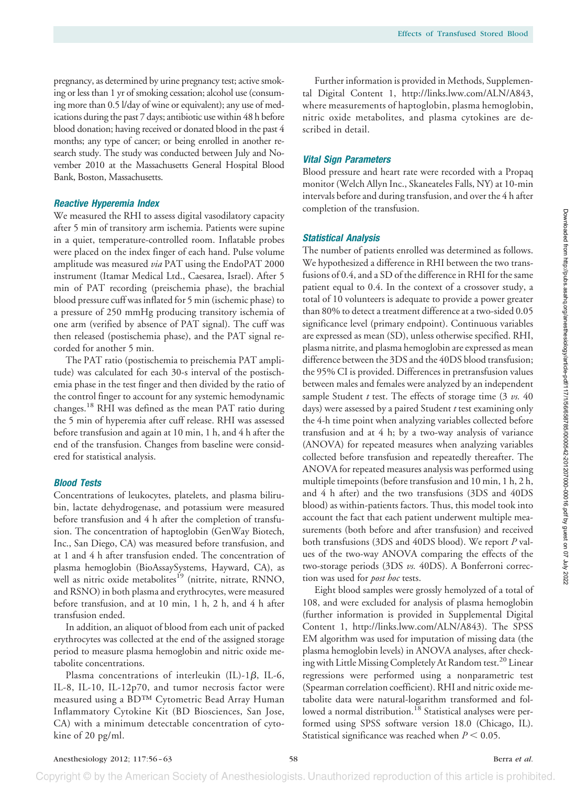pregnancy, as determined by urine pregnancy test; active smoking or less than 1 yr of smoking cessation; alcohol use (consuming more than 0.5 l/day of wine or equivalent); any use of medications during the past 7 days; antibiotic use within 48 h before blood donation; having received or donated blood in the past 4 months; any type of cancer; or being enrolled in another research study. The study was conducted between July and November 2010 at the Massachusetts General Hospital Blood Bank, Boston, Massachusetts.

### *Reactive Hyperemia Index*

We measured the RHI to assess digital vasodilatory capacity after 5 min of transitory arm ischemia. Patients were supine in a quiet, temperature-controlled room. Inflatable probes were placed on the index finger of each hand. Pulse volume amplitude was measured *via* PAT using the EndoPAT 2000 instrument (Itamar Medical Ltd., Caesarea, Israel). After 5 min of PAT recording (preischemia phase), the brachial blood pressure cuff was inflated for 5 min (ischemic phase) to a pressure of 250 mmHg producing transitory ischemia of one arm (verified by absence of PAT signal). The cuff was then released (postischemia phase), and the PAT signal recorded for another 5 min.

The PAT ratio (postischemia to preischemia PAT amplitude) was calculated for each 30-s interval of the postischemia phase in the test finger and then divided by the ratio of the control finger to account for any systemic hemodynamic changes.18 RHI was defined as the mean PAT ratio during the 5 min of hyperemia after cuff release. RHI was assessed before transfusion and again at 10 min, 1 h, and 4 h after the end of the transfusion. Changes from baseline were considered for statistical analysis.

### *Blood Tests*

Concentrations of leukocytes, platelets, and plasma bilirubin, lactate dehydrogenase, and potassium were measured before transfusion and 4 h after the completion of transfusion. The concentration of haptoglobin (GenWay Biotech, Inc., San Diego, CA) was measured before transfusion, and at 1 and 4 h after transfusion ended. The concentration of plasma hemoglobin (BioAssaySystems, Hayward, CA), as well as nitric oxide metabolites<sup>19</sup> (nitrite, nitrate, RNNO, and RSNO) in both plasma and erythrocytes, were measured before transfusion, and at 10 min, 1 h, 2 h, and 4 h after transfusion ended.

In addition, an aliquot of blood from each unit of packed erythrocytes was collected at the end of the assigned storage period to measure plasma hemoglobin and nitric oxide metabolite concentrations.

Plasma concentrations of interleukin (IL)-1 $\beta$ , IL-6, IL-8, IL-10, IL-12p70, and tumor necrosis factor were measured using a BD™ Cytometric Bead Array Human Inflammatory Cytokine Kit (BD Biosciences, San Jose, CA) with a minimum detectable concentration of cytokine of 20 pg/ml.

Further information is provided in Methods, Supplemental Digital Content 1, [http://links.lww.com/ALN/A843,](http://links.lww.com/ALN/A843) where measurements of haptoglobin, plasma hemoglobin, nitric oxide metabolites, and plasma cytokines are described in detail.

## *Vital Sign Parameters*

Blood pressure and heart rate were recorded with a Propaq monitor (Welch Allyn Inc., Skaneateles Falls, NY) at 10-min intervals before and during transfusion, and over the 4 h after completion of the transfusion.

## *Statistical Analysis*

The number of patients enrolled was determined as follows. We hypothesized a difference in RHI between the two transfusions of 0.4, and a SD of the difference in RHI for the same patient equal to 0.4. In the context of a crossover study, a total of 10 volunteers is adequate to provide a power greater than 80% to detect a treatment difference at a two-sided 0.05 significance level (primary endpoint). Continuous variables are expressed as mean (SD), unless otherwise specified. RHI, plasma nitrite, and plasma hemoglobin are expressed as mean difference between the 3DS and the 40DS blood transfusion; the 95% CI is provided. Differences in pretransfusion values between males and females were analyzed by an independent sample Student *t* test. The effects of storage time (3 *vs.* 40 days) were assessed by a paired Student *t* test examining only the 4-h time point when analyzing variables collected before transfusion and at 4 h; by a two-way analysis of variance (ANOVA) for repeated measures when analyzing variables collected before transfusion and repeatedly thereafter. The ANOVA for repeated measures analysis was performed using multiple timepoints (before transfusion and 10 min, 1 h, 2 h, and 4 h after) and the two transfusions (3DS and 40DS blood) as within-patients factors. Thus, this model took into account the fact that each patient underwent multiple measurements (both before and after transfusion) and received both transfusions (3DS and 40DS blood). We report *P* values of the two-way ANOVA comparing the effects of the two-storage periods (3DS *vs.* 40DS). A Bonferroni correction was used for *post hoc* tests.

Eight blood samples were grossly hemolyzed of a total of 108, and were excluded for analysis of plasma hemoglobin (further information is provided in Supplemental Digital Content 1, [http://links.lww.com/ALN/A843\)](http://links.lww.com/ALN/A843). The SPSS EM algorithm was used for imputation of missing data (the plasma hemoglobin levels) in ANOVA analyses, after checking with Little Missing Completely At Random test.<sup>20</sup> Linear regressions were performed using a nonparametric test (Spearman correlation coefficient). RHI and nitric oxide metabolite data were natural-logarithm transformed and followed a normal distribution.<sup>18</sup> Statistical analyses were performed using SPSS software version 18.0 (Chicago, IL). Statistical significance was reached when  $P < 0.05$ .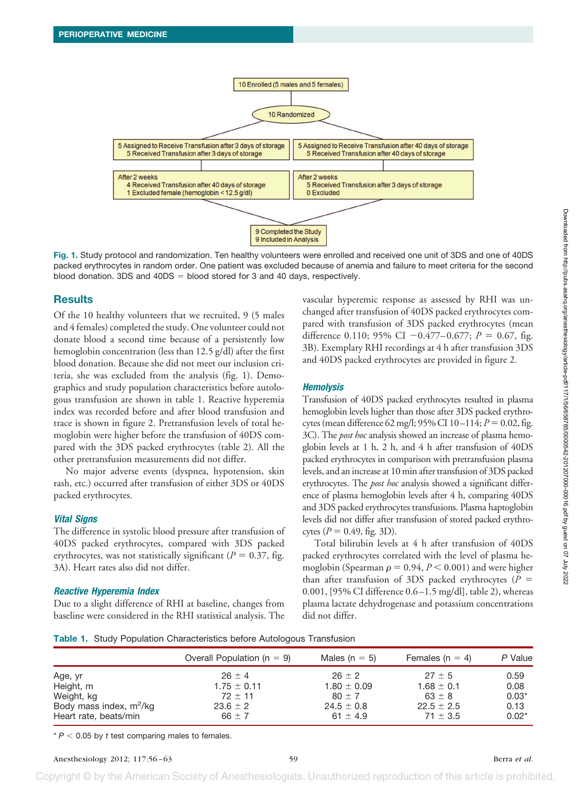

**Fig. 1.** Study protocol and randomization. Ten healthy volunteers were enrolled and received one unit of 3DS and one of 40DS packed erythrocytes in random order. One patient was excluded because of anemia and failure to meet criteria for the second blood donation.  $3DS$  and  $40DS =$  blood stored for 3 and 40 days, respectively.

## **Results**

Of the 10 healthy volunteers that we recruited, 9 (5 males and 4 females) completed the study. One volunteer could not donate blood a second time because of a persistently low hemoglobin concentration (less than 12.5 g/dl) after the first blood donation. Because she did not meet our inclusion criteria, she was excluded from the analysis (fig. 1). Demographics and study population characteristics before autologous transfusion are shown in table 1. Reactive hyperemia index was recorded before and after blood transfusion and trace is shown in figure 2. Pretransfusion levels of total hemoglobin were higher before the transfusion of 40DS compared with the 3DS packed erythrocytes (table 2). All the other pretransfusion measurements did not differ.

No major adverse events (dyspnea, hypotension, skin rash, etc.) occurred after transfusion of either 3DS or 40DS packed erythrocytes.

#### *Vital Signs*

The difference in systolic blood pressure after transfusion of 40DS packed erythrocytes, compared with 3DS packed erythrocytes, was not statistically significant ( $P = 0.37$ , fig. 3A). Heart rates also did not differ.

#### *Reactive Hyperemia Index*

Due to a slight difference of RHI at baseline, changes from baseline were considered in the RHI statistical analysis. The vascular hyperemic response as assessed by RHI was unchanged after transfusion of 40DS packed erythrocytes compared with transfusion of 3DS packed erythrocytes (mean difference 0.110; 95% CI  $-0.477-0.677$ ;  $P = 0.67$ , fig. 3B). Exemplary RHI recordings at 4 h after transfusion 3DS and 40DS packed erythrocytes are provided in figure 2.

### *Hemolysis*

Transfusion of 40DS packed erythrocytes resulted in plasma hemoglobin levels higher than those after 3DS packed erythrocytes (mean difference 62 mg/l;  $95\%$  CI 10-114;  $P = 0.02$ , fig. 3C). The *post hoc* analysis showed an increase of plasma hemoglobin levels at 1 h, 2 h, and 4 h after transfusion of 40DS packed erythrocytes in comparison with pretransfusion plasma levels, and an increase at 10 min after transfusion of 3DS packed erythrocytes. The *post hoc* analysis showed a significant difference of plasma hemoglobin levels after 4 h, comparing 40DS and 3DS packed erythrocytes transfusions. Plasma haptoglobin levels did not differ after transfusion of stored packed erythrocytes ( $P = 0.49$ , fig. 3D).

Total bilirubin levels at 4 h after transfusion of 40DS packed erythrocytes correlated with the level of plasma hemoglobin (Spearman  $\rho = 0.94, P < 0.001$ ) and were higher than after transfusion of 3DS packed erythrocytes  $(P =$ 0.001, [95% CI difference 0.6 –1.5 mg/dl], table 2), whereas plasma lactate dehydrogenase and potassium concentrations did not differ.

**Table 1.** Study Population Characteristics before Autologous Transfusion

|                           | Overall Population ( $n = 9$ ) | Males ( $n = 5$ ) | Females ( $n = 4$ ) | P Value |  |
|---------------------------|--------------------------------|-------------------|---------------------|---------|--|
| Age, yr                   | $26 + 4$                       | $26 + 2$          | $27 + 5$            | 0.59    |  |
| Height, m                 | $1.75 \pm 0.11$                | $1.80 \pm 0.09$   | $1.68 \pm 0.1$      | 0.08    |  |
| Weight, kg                | $72 \pm 11$                    | $80 + 7$          | $63 \pm 8$          | $0.03*$ |  |
| Body mass index, $m^2/kg$ | $23.6 \pm 2$                   | $24.5 \pm 0.8$    | $22.5 \pm 2.5$      | 0.13    |  |
| Heart rate, beats/min     | $66 \pm 7$                     | 61 $\pm$ 4.9      | $71 \pm 3.5$        | $0.02*$ |  |

 $* P < 0.05$  by *t* test comparing males to females.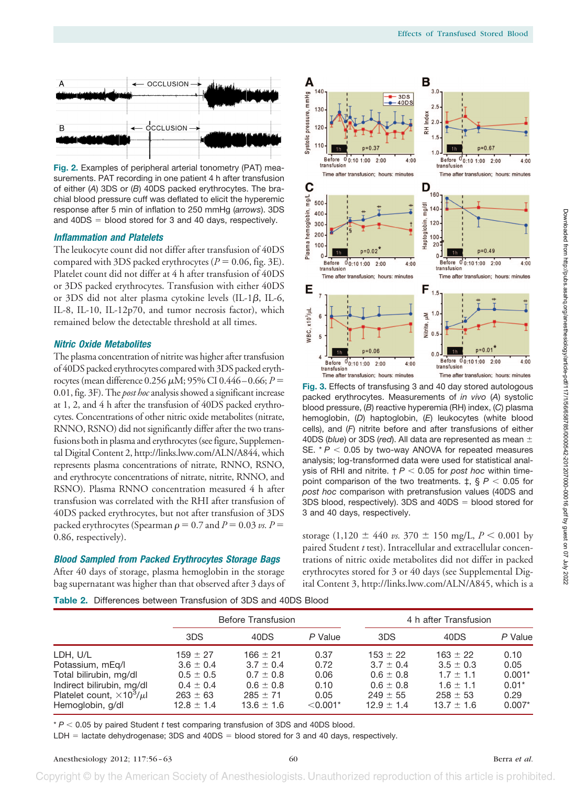

**Fig. 2.** Examples of peripheral arterial tonometry (PAT) measurements. PAT recording in one patient 4 h after transfusion of either (*A*) 3DS or (*B*) 40DS packed erythrocytes. The brachial blood pressure cuff was deflated to elicit the hyperemic response after 5 min of inflation to 250 mmHg (*arrows*). 3DS and  $40DS = blood stored for 3 and 40 days, respectively.$ 

#### *Inflammation and Platelets*

The leukocyte count did not differ after transfusion of 40DS compared with 3DS packed erythrocytes ( $P = 0.06$ , fig. 3E). Platelet count did not differ at 4 h after transfusion of 40DS or 3DS packed erythrocytes. Transfusion with either 40DS or 3DS did not alter plasma cytokine levels (IL-1 $\beta$ , IL-6, IL-8, IL-10, IL-12p70, and tumor necrosis factor), which remained below the detectable threshold at all times.

### *Nitric Oxide Metabolites*

The plasma concentration of nitrite was higher after transfusion of 40DS packed erythrocytes compared with 3DS packed erythrocytes (mean difference 0.256  $\mu$ M; 95% CI 0.446 – 0.66;  $P =$ 0.01, fig. 3F). The *post hoc* analysis showed a significant increase at 1, 2, and 4 h after the transfusion of 40DS packed erythrocytes. Concentrations of other nitric oxide metabolites (nitrate, RNNO, RSNO) did not significantly differ after the two transfusions both in plasma and erythrocytes (see figure, Supplemental Digital Content 2, [http://links.lww.com/ALN/A844,](http://links.lww.com/ALN/A844) which represents plasma concentrations of nitrate, RNNO, RSNO, and erythrocyte concentrations of nitrate, nitrite, RNNO, and RSNO). Plasma RNNO concentration measured 4 h after transfusion was correlated with the RHI after transfusion of 40DS packed erythrocytes, but not after transfusion of 3DS packed erythrocytes (Spearman  $\rho = 0.7$  and  $P = 0.03$  *vs.*  $P =$ 0.86, respectively).

#### *Blood Sampled from Packed Erythrocytes Storage Bags*

After 40 days of storage, plasma hemoglobin in the storage bag supernatant was higher than that observed after 3 days of



**Fig. 3.** Effects of transfusing 3 and 40 day stored autologous packed erythrocytes. Measurements of *in vivo* (*A*) systolic blood pressure, (*B*) reactive hyperemia (RH) index, (*C*) plasma hemoglobin, (*D*) haptoglobin, (*E*) leukocytes (white blood cells), and (*F*) nitrite before and after transfusions of either 40DS (*blue*) or 3DS (*red*). All data are represented as mean SE. \*  $P$  < 0.05 by two-way ANOVA for repeated measures analysis; log-transformed data were used for statistical analysis of RHI and nitrite.  $\dagger$   $P$   $<$  0.05 for *post hoc* within timepoint comparison of the two treatments.  $\ddagger, \ \S\ P < 0.05$  for *post hoc* comparison with pretransfusion values (40DS and  $3DS$  blood, respectively).  $3DS$  and  $40DS = blood$  stored for 3 and 40 days, respectively.

storage  $(1,120 \pm 440 \text{ vs. } 370 \pm 150 \text{ mg/L}, P < 0.001 \text{ by }$ paired Student *t* test). Intracellular and extracellular concentrations of nitric oxide metabolites did not differ in packed erythrocytes stored for 3 or 40 days (see Supplemental Digital Content 3, [http://links.lww.com/ALN/A845,](http://links.lww.com/ALN/A845) which is a

**Table 2.** Differences between Transfusion of 3DS and 40DS Blood

|                                                                                                                                                |                                                                                                   | <b>Before Transfusion</b>                                                                         |                                                    |                                                                                                   | 4 h after Transfusion                                                                             |                                                         |  |
|------------------------------------------------------------------------------------------------------------------------------------------------|---------------------------------------------------------------------------------------------------|---------------------------------------------------------------------------------------------------|----------------------------------------------------|---------------------------------------------------------------------------------------------------|---------------------------------------------------------------------------------------------------|---------------------------------------------------------|--|
|                                                                                                                                                | 3DS                                                                                               | 40DS                                                                                              | P Value                                            | 3DS                                                                                               | 40DS                                                                                              | P Value                                                 |  |
| LDH, U/L<br>Potassium, mEq/l<br>Total bilirubin, mg/dl<br>Indirect bilirubin, mg/dl<br>Platelet count, $\times 10^3/\mu l$<br>Hemoglobin, g/dl | $159 \pm 27$<br>$3.6 \pm 0.4$<br>$0.5 \pm 0.5$<br>$0.4 \pm 0.4$<br>$263 \pm 63$<br>$12.8 \pm 1.4$ | $166 \pm 21$<br>$3.7 \pm 0.4$<br>$0.7 \pm 0.8$<br>$0.6 \pm 0.8$<br>$285 \pm 71$<br>$13.6 \pm 1.6$ | 0.37<br>0.72<br>0.06<br>0.10<br>0.05<br>$< 0.001*$ | $153 \pm 22$<br>$3.7 \pm 0.4$<br>$0.6 \pm 0.8$<br>$0.6 \pm 0.8$<br>$249 \pm 55$<br>$12.9 \pm 1.4$ | $163 \pm 22$<br>$3.5 \pm 0.3$<br>$1.7 \pm 1.1$<br>$1.6 \pm 1.1$<br>$258 \pm 53$<br>$13.7 \pm 1.6$ | 0.10<br>0.05<br>$0.001*$<br>$0.01*$<br>0.29<br>$0.007*$ |  |

\* *P* < 0.05 by paired Student *t* test comparing transfusion of 3DS and 40DS blood.

 $LDH =$  lactate dehydrogenase; 3DS and 40DS = blood stored for 3 and 40 days, respectively.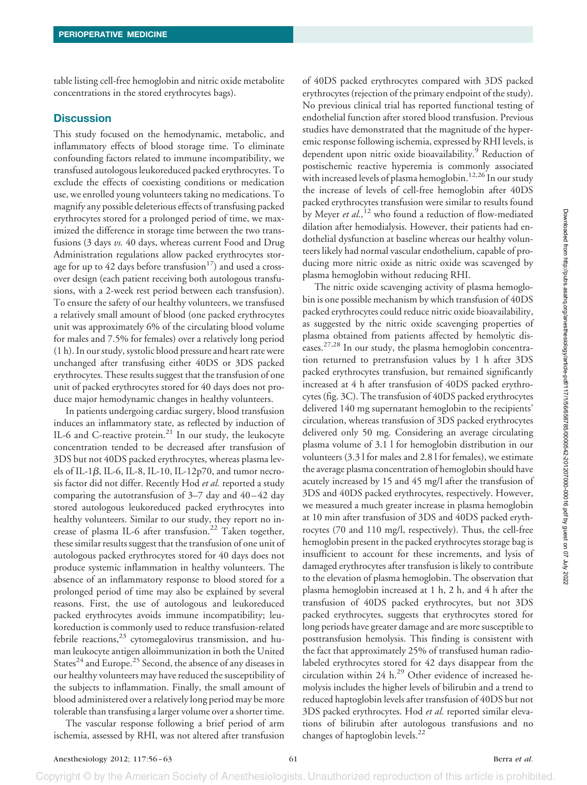table listing cell-free hemoglobin and nitric oxide metabolite concentrations in the stored erythrocytes bags).

### **Discussion**

This study focused on the hemodynamic, metabolic, and inflammatory effects of blood storage time. To eliminate confounding factors related to immune incompatibility, we transfused autologous leukoreduced packed erythrocytes. To exclude the effects of coexisting conditions or medication use, we enrolled young volunteers taking no medications. To magnify any possible deleterious effects of transfusing packed erythrocytes stored for a prolonged period of time, we maximized the difference in storage time between the two transfusions (3 days *vs.* 40 days, whereas current Food and Drug Administration regulations allow packed erythrocytes storage for up to 42 days before transfusion<sup>17</sup>) and used a crossover design (each patient receiving both autologous transfusions, with a 2-week rest period between each transfusion). To ensure the safety of our healthy volunteers, we transfused a relatively small amount of blood (one packed erythrocytes unit was approximately 6% of the circulating blood volume for males and 7.5% for females) over a relatively long period (1 h). In our study, systolic blood pressure and heart rate were unchanged after transfusing either 40DS or 3DS packed erythrocytes. These results suggest that the transfusion of one unit of packed erythrocytes stored for 40 days does not produce major hemodynamic changes in healthy volunteers.

In patients undergoing cardiac surgery, blood transfusion induces an inflammatory state, as reflected by induction of IL-6 and C-reactive protein.<sup>21</sup> In our study, the leukocyte concentration tended to be decreased after transfusion of 3DS but not 40DS packed erythrocytes, whereas plasma levels of IL-1 $\beta$ , IL-6, IL-8, IL-10, IL-12p70, and tumor necrosis factor did not differ. Recently Hod *et al.* reported a study comparing the autotransfusion of  $3-7$  day and  $40-42$  day stored autologous leukoreduced packed erythrocytes into healthy volunteers. Similar to our study, they report no increase of plasma IL-6 after transfusion.<sup>22</sup> Taken together, these similar results suggest that the transfusion of one unit of autologous packed erythrocytes stored for 40 days does not produce systemic inflammation in healthy volunteers. The absence of an inflammatory response to blood stored for a prolonged period of time may also be explained by several reasons. First, the use of autologous and leukoreduced packed erythrocytes avoids immune incompatibility; leukoreduction is commonly used to reduce transfusion-related febrile reactions, $^{23}$  cytomegalovirus transmission, and human leukocyte antigen alloimmunization in both the United States<sup>24</sup> and Europe.<sup>25</sup> Second, the absence of any diseases in our healthy volunteers may have reduced the susceptibility of the subjects to inflammation. Finally, the small amount of blood administered over a relatively long period may be more tolerable than transfusing a larger volume over a shorter time.

The vascular response following a brief period of arm ischemia, assessed by RHI, was not altered after transfusion

of 40DS packed erythrocytes compared with 3DS packed erythrocytes (rejection of the primary endpoint of the study). No previous clinical trial has reported functional testing of endothelial function after stored blood transfusion. Previous studies have demonstrated that the magnitude of the hyperemic response following ischemia, expressed by RHI levels, is dependent upon nitric oxide bioavailability.<sup>9</sup> Reduction of postischemic reactive hyperemia is commonly associated with increased levels of plasma hemoglobin.<sup>12,26</sup> In our study the increase of levels of cell-free hemoglobin after 40DS packed erythrocytes transfusion were similar to results found by Meyer *et al.,*<sup>12</sup> who found a reduction of flow-mediated dilation after hemodialysis. However, their patients had endothelial dysfunction at baseline whereas our healthy volunteers likely had normal vascular endothelium, capable of producing more nitric oxide as nitric oxide was scavenged by plasma hemoglobin without reducing RHI.

The nitric oxide scavenging activity of plasma hemoglobin is one possible mechanism by which transfusion of 40DS packed erythrocytes could reduce nitric oxide bioavailability, as suggested by the nitric oxide scavenging properties of plasma obtained from patients affected by hemolytic diseases.<sup>27,28</sup> In our study, the plasma hemoglobin concentration returned to pretransfusion values by 1 h after 3DS packed erythrocytes transfusion, but remained significantly increased at 4 h after transfusion of 40DS packed erythrocytes (fig. 3C). The transfusion of 40DS packed erythrocytes delivered 140 mg supernatant hemoglobin to the recipients' circulation, whereas transfusion of 3DS packed erythrocytes delivered only 50 mg. Considering an average circulating plasma volume of 3.1 l for hemoglobin distribution in our volunteers (3.3 l for males and 2.8 l for females), we estimate the average plasma concentration of hemoglobin should have acutely increased by 15 and 45 mg/l after the transfusion of 3DS and 40DS packed erythrocytes, respectively. However, we measured a much greater increase in plasma hemoglobin at 10 min after transfusion of 3DS and 40DS packed erythrocytes (70 and 110 mg/l, respectively). Thus, the cell-free hemoglobin present in the packed erythrocytes storage bag is insufficient to account for these increments, and lysis of damaged erythrocytes after transfusion is likely to contribute to the elevation of plasma hemoglobin. The observation that plasma hemoglobin increased at 1 h, 2 h, and 4 h after the transfusion of 40DS packed erythrocytes, but not 3DS packed erythrocytes, suggests that erythrocytes stored for long periods have greater damage and are more susceptible to posttransfusion hemolysis. This finding is consistent with the fact that approximately 25% of transfused human radiolabeled erythrocytes stored for 42 days disappear from the circulation within 24  $h$ .<sup>29</sup> Other evidence of increased hemolysis includes the higher levels of bilirubin and a trend to reduced haptoglobin levels after transfusion of 40DS but not 3DS packed erythrocytes. Hod *et al.* reported similar elevations of bilirubin after autologous transfusions and no changes of haptoglobin levels.<sup>22</sup>

Copyright © by the American Society of Anesthesiologists. Unauthorized reproduction of this article is prohibited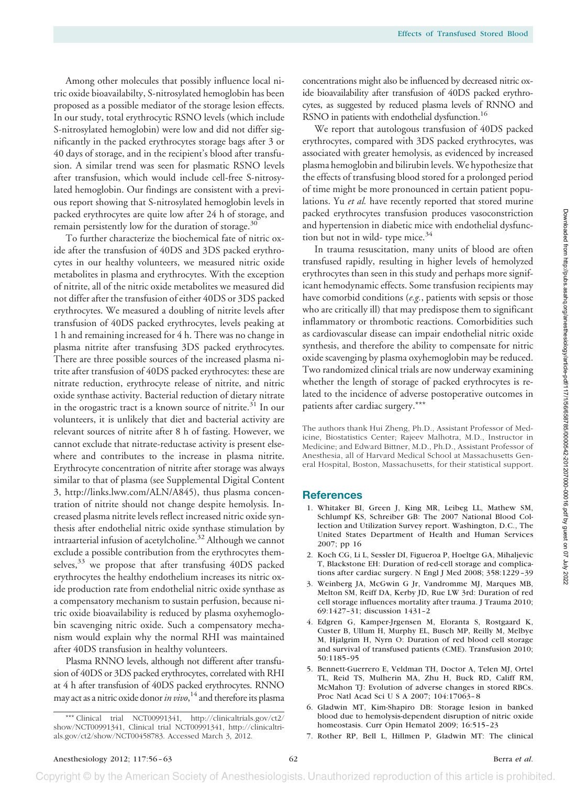Among other molecules that possibly influence local nitric oxide bioavailabilty, S-nitrosylated hemoglobin has been proposed as a possible mediator of the storage lesion effects. In our study, total erythrocytic RSNO levels (which include S-nitrosylated hemoglobin) were low and did not differ significantly in the packed erythrocytes storage bags after 3 or 40 days of storage, and in the recipient's blood after transfusion. A similar trend was seen for plasmatic RSNO levels after transfusion, which would include cell-free S-nitrosylated hemoglobin. Our findings are consistent with a previous report showing that S-nitrosylated hemoglobin levels in packed erythrocytes are quite low after 24 h of storage, and remain persistently low for the duration of storage.<sup>30</sup>

To further characterize the biochemical fate of nitric oxide after the transfusion of 40DS and 3DS packed erythrocytes in our healthy volunteers, we measured nitric oxide metabolites in plasma and erythrocytes. With the exception of nitrite, all of the nitric oxide metabolites we measured did not differ after the transfusion of either 40DS or 3DS packed erythrocytes. We measured a doubling of nitrite levels after transfusion of 40DS packed erythrocytes, levels peaking at 1 h and remaining increased for 4 h. There was no change in plasma nitrite after transfusing 3DS packed erythrocytes. There are three possible sources of the increased plasma nitrite after transfusion of 40DS packed erythrocytes: these are nitrate reduction, erythrocyte release of nitrite, and nitric oxide synthase activity. Bacterial reduction of dietary nitrate in the orogastric tract is a known source of nitrite.<sup>31</sup> In our volunteers, it is unlikely that diet and bacterial activity are relevant sources of nitrite after 8 h of fasting. However, we cannot exclude that nitrate-reductase activity is present elsewhere and contributes to the increase in plasma nitrite. Erythrocyte concentration of nitrite after storage was always similar to that of plasma (see Supplemental Digital Content 3, [http://links.lww.com/ALN/A845\)](http://links.lww.com/ALN/A845), thus plasma concentration of nitrite should not change despite hemolysis. Increased plasma nitrite levels reflect increased nitric oxide synthesis after endothelial nitric oxide synthase stimulation by intraarterial infusion of acetylcholine.32 Although we cannot exclude a possible contribution from the erythrocytes themselves,<sup>33</sup> we propose that after transfusing 40DS packed erythrocytes the healthy endothelium increases its nitric oxide production rate from endothelial nitric oxide synthase as a compensatory mechanism to sustain perfusion, because nitric oxide bioavailability is reduced by plasma oxyhemoglobin scavenging nitric oxide. Such a compensatory mechanism would explain why the normal RHI was maintained after 40DS transfusion in healthy volunteers.

Plasma RNNO levels, although not different after transfusion of 40DS or 3DS packed erythrocytes, correlated with RHI at 4 h after transfusion of 40DS packed erythrocytes. RNNO may act as a nitric oxide donor*in vivo*, <sup>14</sup> and therefore its plasma

concentrations might also be influenced by decreased nitric oxide bioavailability after transfusion of 40DS packed erythrocytes, as suggested by reduced plasma levels of RNNO and RSNO in patients with endothelial dysfunction.<sup>16</sup>

We report that autologous transfusion of 40DS packed erythrocytes, compared with 3DS packed erythrocytes, was associated with greater hemolysis, as evidenced by increased plasma hemoglobin and bilirubin levels. We hypothesize that the effects of transfusing blood stored for a prolonged period of time might be more pronounced in certain patient populations. Yu *et al.* have recently reported that stored murine packed erythrocytes transfusion produces vasoconstriction and hypertension in diabetic mice with endothelial dysfunction but not in wild- type mice.<sup>34</sup>

In trauma resuscitation, many units of blood are often transfused rapidly, resulting in higher levels of hemolyzed erythrocytes than seen in this study and perhaps more significant hemodynamic effects. Some transfusion recipients may have comorbid conditions (*e.g.*, patients with sepsis or those who are critically ill) that may predispose them to significant inflammatory or thrombotic reactions. Comorbidities such as cardiovascular disease can impair endothelial nitric oxide synthesis, and therefore the ability to compensate for nitric oxide scavenging by plasma oxyhemoglobin may be reduced. Two randomized clinical trials are now underway examining whether the length of storage of packed erythrocytes is related to the incidence of adverse postoperative outcomes in patients after cardiac surgery.\*\*\*

The authors thank Hui Zheng, Ph.D., Assistant Professor of Medicine, Biostatistics Center; Rajeev Malhotra, M.D., Instructor in Medicine; and Edward Bittner, M.D., Ph.D., Assistant Professor of Anesthesia, all of Harvard Medical School at Massachusetts General Hospital, Boston, Massachusetts, for their statistical support.

#### **References**

- 1. Whitaker BI, Green J, King MR, Leibeg LL, Mathew SM, Schlumpf KS, Schreiber GB: The 2007 National Blood Collection and Utilization Survey report. Washington, D.C., The United States Department of Health and Human Services 2007; pp 16
- 2. Koch CG, Li L, Sessler DI, Figueroa P, Hoeltge GA, Mihaljevic T, Blackstone EH: Duration of red-cell storage and complications after cardiac surgery. N Engl J Med 2008; 358:1229 –39
- 3. Weinberg JA, McGwin G Jr, Vandromme MJ, Marques MB, Melton SM, Reiff DA, Kerby JD, Rue LW 3rd: Duration of red cell storage influences mortality after trauma. J Trauma 2010; 69:1427–31; discussion 1431–2
- 4. Edgren G, Kamper-Jrgensen M, Eloranta S, Rostgaard K, Custer B, Ullum H, Murphy EL, Busch MP, Reilly M, Melbye M, Hjalgrim H, Nyrn O: Duration of red blood cell storage and survival of transfused patients (CME). Transfusion 2010; 50:1185–95
- 5. Bennett-Guerrero E, Veldman TH, Doctor A, Telen MJ, Ortel TL, Reid TS, Mulherin MA, Zhu H, Buck RD, Califf RM, McMahon TJ: Evolution of adverse changes in stored RBCs. Proc Natl Acad Sci U S A 2007; 104:17063-8
- 6. Gladwin MT, Kim-Shapiro DB: Storage lesion in banked blood due to hemolysis-dependent disruption of nitric oxide homeostasis. Curr Opin Hematol 2009; 16:515–23
- 7. Rother RP, Bell L, Hillmen P, Gladwin MT: The clinical

Copyright © by the American Society of Anesthesiologists. Unauthorized reproduction of this article is prohibited

<sup>\*\*\*</sup> Clinical trial NCT00991341, [http://clinicaltrials.gov/ct2/](http://clinicaltrials.gov/ct2/show/NCT00991341) [show/NCT00991341,](http://clinicaltrials.gov/ct2/show/NCT00991341) Clinical trial NCT00991341, [http://clinicaltri](http://clinicaltrials.gov/ct2/show/NCT00458783)[als.gov/ct2/show/NCT00458783.](http://clinicaltrials.gov/ct2/show/NCT00458783) Accessed March 3, 2012.